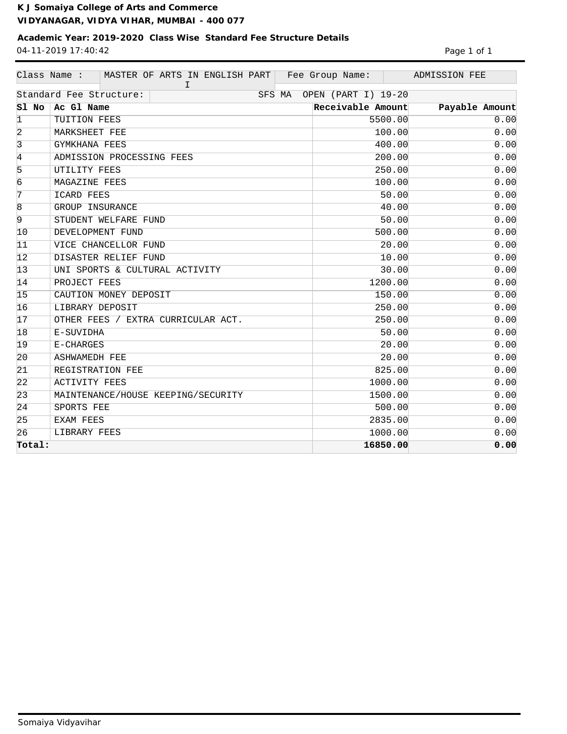**K J Somaiya College of Arts and Commerce VIDYANAGAR, VIDYA VIHAR, MUMBAI - 400 077**

## **Academic Year: 2019-2020 Class Wise Standard Fee Structure Details** 04-11-2019 17:40:42 Page 1 of 1

|                | Class Name :<br>MASTER OF ARTS IN ENGLISH PART   Fee Group Name:<br>I. |                     | ADMISSION FEE  |
|----------------|------------------------------------------------------------------------|---------------------|----------------|
|                | Standard Fee Structure:<br>SFS MA                                      | OPEN (PART I) 19-20 |                |
| Sl No          | Ac Gl Name                                                             | Receivable Amount   | Payable Amount |
| $\vert$ 1      | TUITION FEES                                                           | 5500.00             | 0.00           |
| 2              | MARKSHEET FEE                                                          | 100.00              | 0.00           |
| $\overline{3}$ | GYMKHANA FEES                                                          | 400.00              | 0.00           |
| $\overline{4}$ | ADMISSION PROCESSING FEES                                              | 200.00              | 0.00           |
| 5              | UTILITY FEES                                                           | 250.00              | 0.00           |
| $\overline{6}$ | MAGAZINE FEES                                                          | 100.00              | 0.00           |
| $\overline{7}$ | ICARD FEES                                                             | 50.00               | 0.00           |
| $\overline{8}$ | GROUP INSURANCE                                                        | 40.00               | 0.00           |
| $\overline{9}$ | STUDENT WELFARE FUND                                                   | 50.00               | 0.00           |
| 10             | DEVELOPMENT FUND                                                       | 500.00              | 0.00           |
| 11             | VICE CHANCELLOR FUND                                                   | 20.00               | 0.00           |
| 12             | DISASTER RELIEF FUND                                                   | 10.00               | 0.00           |
| 13             | UNI SPORTS & CULTURAL ACTIVITY                                         | 30.00               | 0.00           |
| 14             | PROJECT FEES                                                           | 1200.00             | 0.00           |
| 15             | CAUTION MONEY DEPOSIT                                                  | 150.00              | 0.00           |
| 16             | LIBRARY DEPOSIT                                                        | 250.00              | 0.00           |
| 17             | OTHER FEES / EXTRA CURRICULAR ACT.                                     | 250.00              | 0.00           |
| 18             | E-SUVIDHA                                                              | 50.00               | 0.00           |
| 19             | E-CHARGES                                                              | 20.00               | 0.00           |
| $ 20\rangle$   | <b>ASHWAMEDH FEE</b>                                                   | 20.00               | 0.00           |
| 21             | REGISTRATION FEE                                                       | 825.00              | 0.00           |
| $ 22\rangle$   | <b>ACTIVITY FEES</b>                                                   | 1000.00             | 0.00           |
| 23             | MAINTENANCE/HOUSE KEEPING/SECURITY                                     | 1500.00             | 0.00           |
| 24             | SPORTS FEE                                                             | 500.00              | 0.00           |
| 25             | EXAM FEES                                                              | 2835.00             | 0.00           |
| 26             | LIBRARY FEES                                                           | 1000.00             | 0.00           |
| Total:         |                                                                        | 16850.00            | 0.00           |